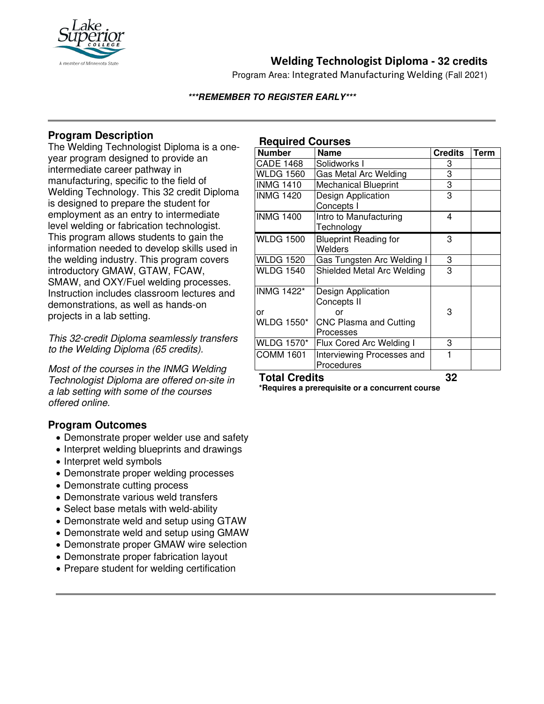

## **Welding Technologist Diploma - 32 credits**

Program Area: Integrated Manufacturing Welding (Fall 2021)

### **\*\*\*REMEMBER TO REGISTER EARLY\*\*\***

## **Program Description**

The Welding Technologist Diploma is a oneyear program designed to provide an intermediate career pathway in manufacturing, specific to the field of Welding Technology. This 32 credit Diploma is designed to prepare the student for employment as an entry to intermediate level welding or fabrication technologist. This program allows students to gain the information needed to develop skills used in the welding industry. This program covers introductory GMAW, GTAW, FCAW, SMAW, and OXY/Fuel welding processes. Instruction includes classroom lectures and demonstrations, as well as hands-on projects in a lab setting.

*This 32-credit Diploma seamlessly transfers to the Welding Diploma (65 credits).*

*Most of the courses in the INMG Welding Technologist Diploma are offered on-site in a lab setting with some of the courses offered online.*

## **Program Outcomes**

- Demonstrate proper welder use and safety
- Interpret welding blueprints and drawings
- Interpret weld symbols
- Demonstrate proper welding processes
- Demonstrate cutting process
- Demonstrate various weld transfers
- Select base metals with weld-ability
- Demonstrate weld and setup using GTAW
- Demonstrate weld and setup using GMAW
- Demonstrate proper GMAW wire selection
- Demonstrate proper fabrication layout
- Prepare student for welding certification

### **Required Courses**

| <b>Number</b>           | <b>Name</b>                              | <b>Credits</b> | <b>Term</b> |
|-------------------------|------------------------------------------|----------------|-------------|
| <b>CADE 1468</b>        | Solidworks I                             | 3              |             |
| <b>WLDG 1560</b>        | Gas Metal Arc Welding                    | 3              |             |
| <b>INMG 1410</b>        | <b>Mechanical Blueprint</b>              | 3              |             |
| <b>INMG 1420</b>        | Design Application<br>Concepts I         | 3              |             |
| <b>INMG 1400</b>        | Intro to Manufacturing<br>Technology     | 4              |             |
| <b>WLDG 1500</b>        | <b>Blueprint Reading for</b><br>Welders  | 3              |             |
| <b>WLDG 1520</b>        | Gas Tungsten Arc Welding I               | 3              |             |
| <b>WLDG 1540</b>        | Shielded Metal Arc Welding               | 3              |             |
| <b>INMG 1422*</b><br>or | Design Application<br>Concepts II<br>Ωr  | 3              |             |
| <b>WLDG 1550*</b>       | CNC Plasma and Cutting<br>Processes      |                |             |
| <b>WLDG 1570*</b>       | Flux Cored Arc Welding I                 | 3              |             |
| <b>COMM 1601</b>        | Interviewing Processes and<br>Procedures |                |             |

**Total Credits 32**

**\*Requires a prerequisite or a concurrent course**